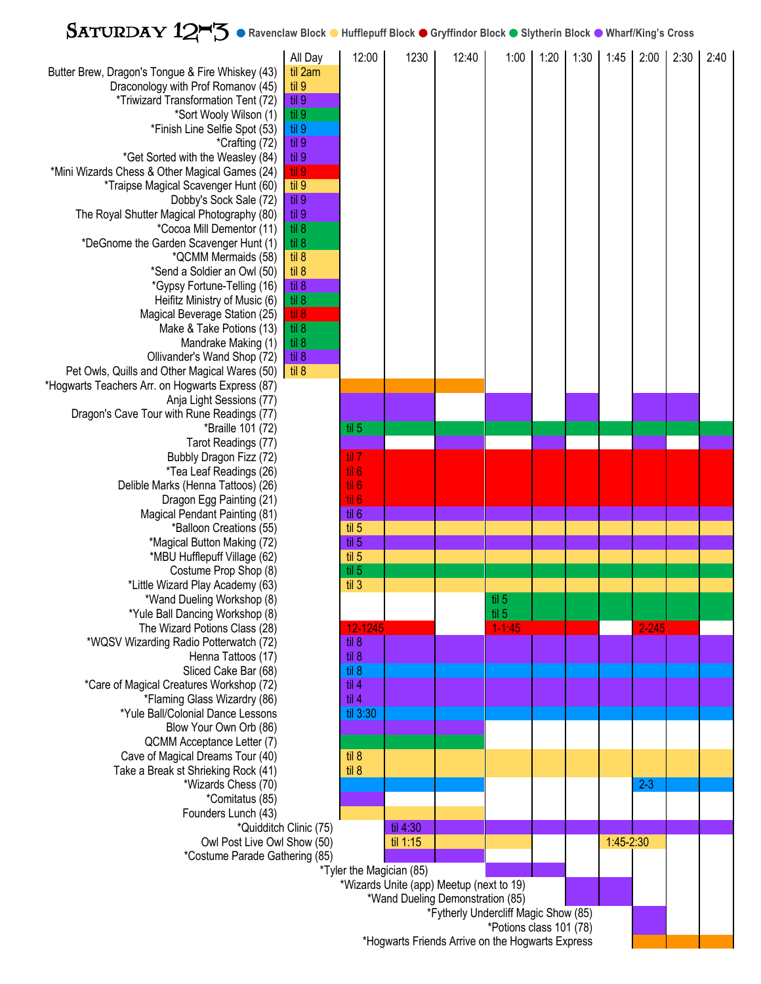